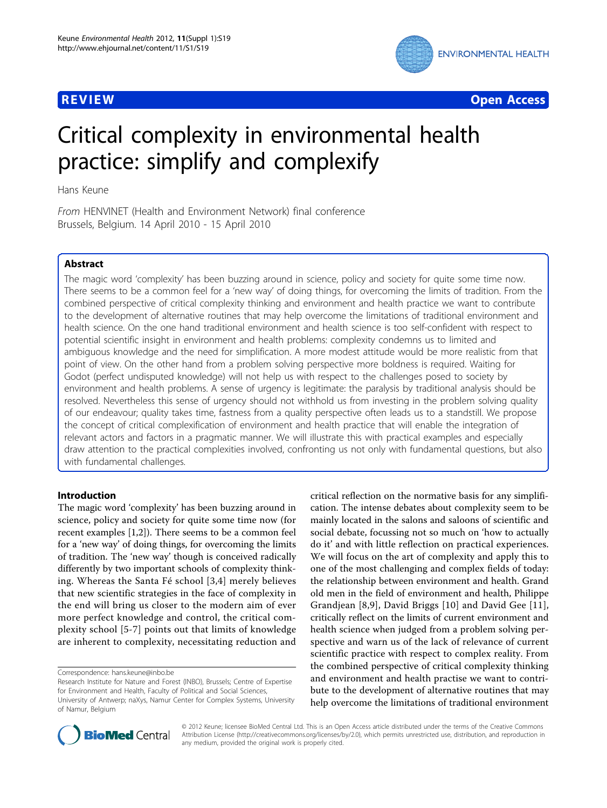

**REVIEW CONTROL** CONTROL CONTROL CONTROL CONTROL CONTROL CONTROL CONTROL CONTROL CONTROL CONTROL CONTROL CONTROL CONTROL CONTROL CONTROL CONTROL CONTROL CONTROL CONTROL CONTROL CONTROL CONTROL CONTROL CONTROL CONTROL CONTR

# Critical complexity in environmental health practice: simplify and complexify

Hans Keune

From HENVINET (Health and Environment Network) final conference Brussels, Belgium. 14 April 2010 - 15 April 2010

# Abstract

The magic word 'complexity' has been buzzing around in science, policy and society for quite some time now. There seems to be a common feel for a 'new way' of doing things, for overcoming the limits of tradition. From the combined perspective of critical complexity thinking and environment and health practice we want to contribute to the development of alternative routines that may help overcome the limitations of traditional environment and health science. On the one hand traditional environment and health science is too self-confident with respect to potential scientific insight in environment and health problems: complexity condemns us to limited and ambiguous knowledge and the need for simplification. A more modest attitude would be more realistic from that point of view. On the other hand from a problem solving perspective more boldness is required. Waiting for Godot (perfect undisputed knowledge) will not help us with respect to the challenges posed to society by environment and health problems. A sense of urgency is legitimate: the paralysis by traditional analysis should be resolved. Nevertheless this sense of urgency should not withhold us from investing in the problem solving quality of our endeavour; quality takes time, fastness from a quality perspective often leads us to a standstill. We propose the concept of critical complexification of environment and health practice that will enable the integration of relevant actors and factors in a pragmatic manner. We will illustrate this with practical examples and especially draw attention to the practical complexities involved, confronting us not only with fundamental questions, but also with fundamental challenges.

# Introduction

The magic word 'complexity' has been buzzing around in science, policy and society for quite some time now (for recent examples [[1,2\]](#page-9-0)). There seems to be a common feel for a 'new way' of doing things, for overcoming the limits of tradition. The 'new way' though is conceived radically differently by two important schools of complexity thinking. Whereas the Santa Fé school [[3](#page-9-0),[4\]](#page-9-0) merely believes that new scientific strategies in the face of complexity in the end will bring us closer to the modern aim of ever more perfect knowledge and control, the critical complexity school [\[5-7](#page-9-0)] points out that limits of knowledge are inherent to complexity, necessitating reduction and

Correspondence: [hans.keune@inbo.be](mailto:hans.keune@inbo.be)

critical reflection on the normative basis for any simplification. The intense debates about complexity seem to be mainly located in the salons and saloons of scientific and social debate, focussing not so much on 'how to actually do it' and with little reflection on practical experiences. We will focus on the art of complexity and apply this to one of the most challenging and complex fields of today: the relationship between environment and health. Grand old men in the field of environment and health, Philippe Grandjean [\[8,9\]](#page-9-0), David Briggs [[10](#page-9-0)] and David Gee [[11](#page-9-0)], critically reflect on the limits of current environment and health science when judged from a problem solving perspective and warn us of the lack of relevance of current scientific practice with respect to complex reality. From the combined perspective of critical complexity thinking and environment and health practise we want to contribute to the development of alternative routines that may help overcome the limitations of traditional environment



© 2012 Keune; licensee BioMed Central Ltd. This is an Open Access article distributed under the terms of the Creative Commons Attribution License [\(http://creativecommons.org/licenses/by/2.0](http://creativecommons.org/licenses/by/2.0)), which permits unrestricted use, distribution, and reproduction in any medium, provided the original work is properly cited.

Research Institute for Nature and Forest (INBO), Brussels; Centre of Expertise for Environment and Health, Faculty of Political and Social Sciences, University of Antwerp; naXys, Namur Center for Complex Systems, University of Namur, Belgium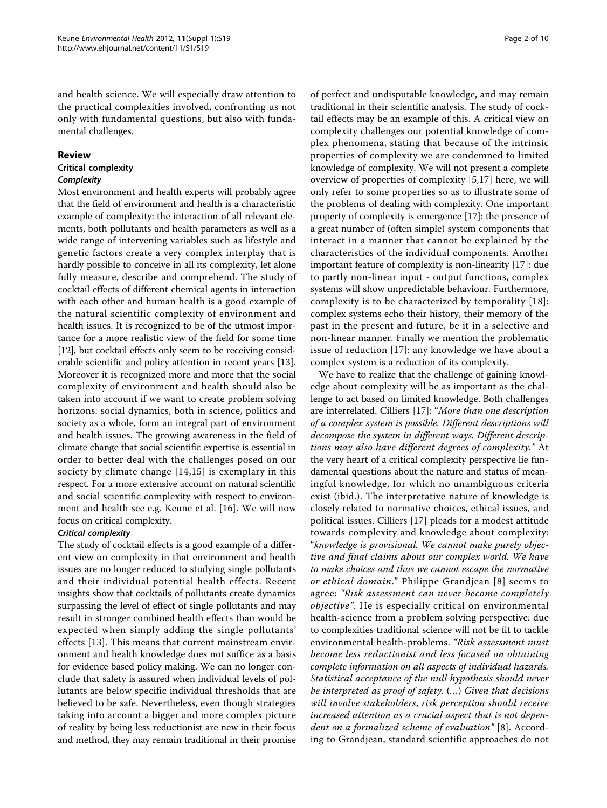and health science. We will especially draw attention to the practical complexities involved, confronting us not only with fundamental questions, but also with fundamental challenges.

#### Review

### Critical complexity **Complexity**

Most environment and health experts will probably agree that the field of environment and health is a characteristic example of complexity: the interaction of all relevant elements, both pollutants and health parameters as well as a wide range of intervening variables such as lifestyle and genetic factors create a very complex interplay that is hardly possible to conceive in all its complexity, let alone fully measure, describe and comprehend. The study of cocktail effects of different chemical agents in interaction with each other and human health is a good example of the natural scientific complexity of environment and health issues. It is recognized to be of the utmost importance for a more realistic view of the field for some time [[12](#page-9-0)], but cocktail effects only seem to be receiving considerable scientific and policy attention in recent years [\[13](#page-9-0)]. Moreover it is recognized more and more that the social complexity of environment and health should also be taken into account if we want to create problem solving horizons: social dynamics, both in science, politics and society as a whole, form an integral part of environment and health issues. The growing awareness in the field of climate change that social scientific expertise is essential in order to better deal with the challenges posed on our society by climate change [[14](#page-9-0),[15](#page-9-0)] is exemplary in this respect. For a more extensive account on natural scientific and social scientific complexity with respect to environment and health see e.g. Keune et al. [\[16\]](#page-9-0). We will now focus on critical complexity.

# Critical complexity

The study of cocktail effects is a good example of a different view on complexity in that environment and health issues are no longer reduced to studying single pollutants and their individual potential health effects. Recent insights show that cocktails of pollutants create dynamics surpassing the level of effect of single pollutants and may result in stronger combined health effects than would be expected when simply adding the single pollutants' effects [[13\]](#page-9-0). This means that current mainstream environment and health knowledge does not suffice as a basis for evidence based policy making. We can no longer conclude that safety is assured when individual levels of pollutants are below specific individual thresholds that are believed to be safe. Nevertheless, even though strategies taking into account a bigger and more complex picture of reality by being less reductionist are new in their focus and method, they may remain traditional in their promise of perfect and undisputable knowledge, and may remain traditional in their scientific analysis. The study of cocktail effects may be an example of this. A critical view on complexity challenges our potential knowledge of complex phenomena, stating that because of the intrinsic properties of complexity we are condemned to limited knowledge of complexity. We will not present a complete overview of properties of complexity [[5,17](#page-9-0)] here, we will only refer to some properties so as to illustrate some of the problems of dealing with complexity. One important property of complexity is emergence [[17\]](#page-9-0): the presence of a great number of (often simple) system components that interact in a manner that cannot be explained by the characteristics of the individual components. Another important feature of complexity is non-linearity [[17\]](#page-9-0): due to partly non-linear input - output functions, complex systems will show unpredictable behaviour. Furthermore, complexity is to be characterized by temporality [[18\]](#page-9-0): complex systems echo their history, their memory of the past in the present and future, be it in a selective and non-linear manner. Finally we mention the problematic issue of reduction [\[17\]](#page-9-0): any knowledge we have about a complex system is a reduction of its complexity.

We have to realize that the challenge of gaining knowledge about complexity will be as important as the challenge to act based on limited knowledge. Both challenges are interrelated. Cilliers [\[17](#page-9-0)]: "More than one description of a complex system is possible. Different descriptions will decompose the system in different ways. Different descriptions may also have different degrees of complexity." At the very heart of a critical complexity perspective lie fundamental questions about the nature and status of meaningful knowledge, for which no unambiguous criteria exist (ibid.). The interpretative nature of knowledge is closely related to normative choices, ethical issues, and political issues. Cilliers [[17\]](#page-9-0) pleads for a modest attitude towards complexity and knowledge about complexity: "knowledge is provisional. We cannot make purely objective and final claims about our complex world. We have to make choices and thus we cannot escape the normative or ethical domain." Philippe Grandjean [[8](#page-9-0)] seems to agree: "Risk assessment can never become completely objective". He is especially critical on environmental health-science from a problem solving perspective: due to complexities traditional science will not be fit to tackle environmental health-problems. "Risk assessment must become less reductionist and less focused on obtaining complete information on all aspects of individual hazards. Statistical acceptance of the null hypothesis should never be interpreted as proof of safety. (…) Given that decisions will involve stakeholders, risk perception should receive increased attention as a crucial aspect that is not dependent on a formalized scheme of evaluation" [[8](#page-9-0)]. According to Grandjean, standard scientific approaches do not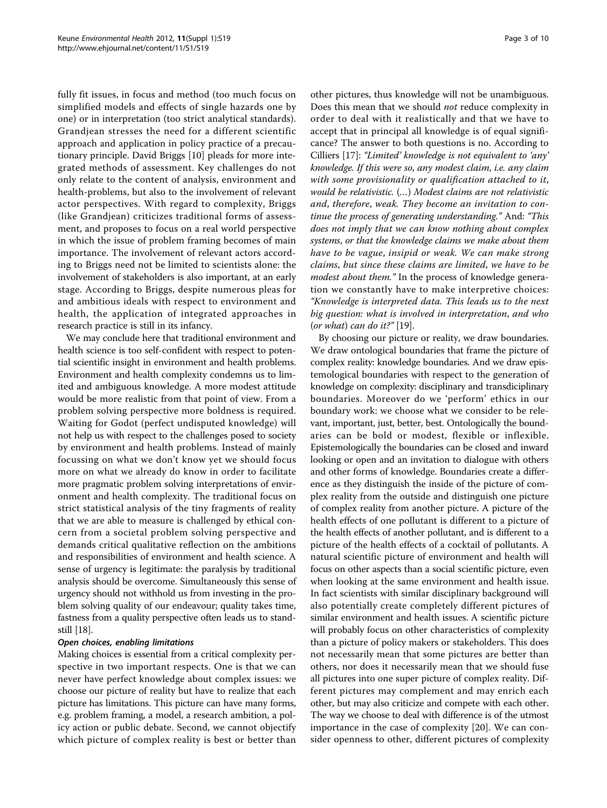fully fit issues, in focus and method (too much focus on simplified models and effects of single hazards one by one) or in interpretation (too strict analytical standards). Grandjean stresses the need for a different scientific approach and application in policy practice of a precautionary principle. David Briggs [[10\]](#page-9-0) pleads for more integrated methods of assessment. Key challenges do not only relate to the content of analysis, environment and health-problems, but also to the involvement of relevant actor perspectives. With regard to complexity, Briggs (like Grandjean) criticizes traditional forms of assessment, and proposes to focus on a real world perspective in which the issue of problem framing becomes of main importance. The involvement of relevant actors according to Briggs need not be limited to scientists alone: the involvement of stakeholders is also important, at an early stage. According to Briggs, despite numerous pleas for and ambitious ideals with respect to environment and health, the application of integrated approaches in research practice is still in its infancy.

We may conclude here that traditional environment and health science is too self-confident with respect to potential scientific insight in environment and health problems. Environment and health complexity condemns us to limited and ambiguous knowledge. A more modest attitude would be more realistic from that point of view. From a problem solving perspective more boldness is required. Waiting for Godot (perfect undisputed knowledge) will not help us with respect to the challenges posed to society by environment and health problems. Instead of mainly focussing on what we don't know yet we should focus more on what we already do know in order to facilitate more pragmatic problem solving interpretations of environment and health complexity. The traditional focus on strict statistical analysis of the tiny fragments of reality that we are able to measure is challenged by ethical concern from a societal problem solving perspective and demands critical qualitative reflection on the ambitions and responsibilities of environment and health science. A sense of urgency is legitimate: the paralysis by traditional analysis should be overcome. Simultaneously this sense of urgency should not withhold us from investing in the problem solving quality of our endeavour; quality takes time, fastness from a quality perspective often leads us to standstill [[18](#page-9-0)].

# Open choices, enabling limitations

Making choices is essential from a critical complexity perspective in two important respects. One is that we can never have perfect knowledge about complex issues: we choose our picture of reality but have to realize that each picture has limitations. This picture can have many forms, e.g. problem framing, a model, a research ambition, a policy action or public debate. Second, we cannot objectify which picture of complex reality is best or better than other pictures, thus knowledge will not be unambiguous. Does this mean that we should not reduce complexity in order to deal with it realistically and that we have to accept that in principal all knowledge is of equal significance? The answer to both questions is no. According to Cilliers [\[17\]](#page-9-0): "Limited' knowledge is not equivalent to 'any' knowledge. If this were so, any modest claim, i.e. any claim with some provisionality or qualification attached to it, would be relativistic. (…) Modest claims are not relativistic and, therefore, weak. They become an invitation to continue the process of generating understanding." And: "This does not imply that we can know nothing about complex systems, or that the knowledge claims we make about them have to be vague, insipid or weak. We can make strong claims, but since these claims are limited, we have to be modest about them." In the process of knowledge generation we constantly have to make interpretive choices: "Knowledge is interpreted data. This leads us to the next big question: what is involved in interpretation, and who (or what) can do it?" [\[19\]](#page-9-0).

By choosing our picture or reality, we draw boundaries. We draw ontological boundaries that frame the picture of complex reality: knowledge boundaries. And we draw epistemological boundaries with respect to the generation of knowledge on complexity: disciplinary and transdiciplinary boundaries. Moreover do we 'perform' ethics in our boundary work: we choose what we consider to be relevant, important, just, better, best. Ontologically the boundaries can be bold or modest, flexible or inflexible. Epistemologically the boundaries can be closed and inward looking or open and an invitation to dialogue with others and other forms of knowledge. Boundaries create a difference as they distinguish the inside of the picture of complex reality from the outside and distinguish one picture of complex reality from another picture. A picture of the health effects of one pollutant is different to a picture of the health effects of another pollutant, and is different to a picture of the health effects of a cocktail of pollutants. A natural scientific picture of environment and health will focus on other aspects than a social scientific picture, even when looking at the same environment and health issue. In fact scientists with similar disciplinary background will also potentially create completely different pictures of similar environment and health issues. A scientific picture will probably focus on other characteristics of complexity than a picture of policy makers or stakeholders. This does not necessarily mean that some pictures are better than others, nor does it necessarily mean that we should fuse all pictures into one super picture of complex reality. Different pictures may complement and may enrich each other, but may also criticize and compete with each other. The way we choose to deal with difference is of the utmost importance in the case of complexity [\[20](#page-9-0)]. We can consider openness to other, different pictures of complexity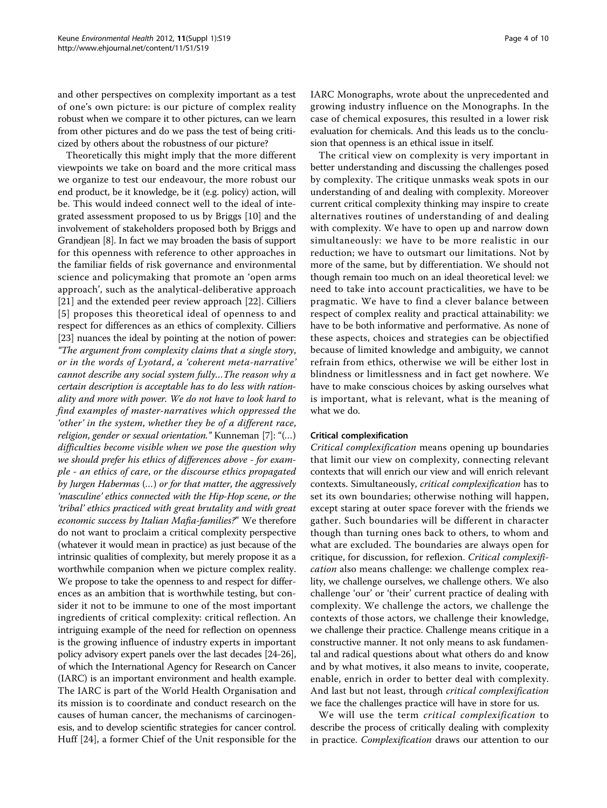and other perspectives on complexity important as a test of one's own picture: is our picture of complex reality robust when we compare it to other pictures, can we learn from other pictures and do we pass the test of being criticized by others about the robustness of our picture?

Theoretically this might imply that the more different viewpoints we take on board and the more critical mass we organize to test our endeavour, the more robust our end product, be it knowledge, be it (e.g. policy) action, will be. This would indeed connect well to the ideal of integrated assessment proposed to us by Briggs [\[10](#page-9-0)] and the involvement of stakeholders proposed both by Briggs and Grandjean [\[8\]](#page-9-0). In fact we may broaden the basis of support for this openness with reference to other approaches in the familiar fields of risk governance and environmental science and policymaking that promote an 'open arms approach', such as the analytical-deliberative approach [[21\]](#page-9-0) and the extended peer review approach [[22](#page-9-0)]. Cilliers [[5](#page-9-0)] proposes this theoretical ideal of openness to and respect for differences as an ethics of complexity. Cilliers [[23\]](#page-9-0) nuances the ideal by pointing at the notion of power: "The argument from complexity claims that a single story, or in the words of Lyotard, a 'coherent meta-narrative' cannot describe any social system fully…The reason why a certain description is acceptable has to do less with rationality and more with power. We do not have to look hard to find examples of master-narratives which oppressed the 'other' in the system, whether they be of a different race, religion, gender or sexual orientation." Kunneman [\[7](#page-9-0)]: "(…) difficulties become visible when we pose the question why we should prefer his ethics of differences above - for example - an ethics of care, or the discourse ethics propagated by Jurgen Habermas (…) or for that matter, the aggressively 'masculine' ethics connected with the Hip-Hop scene, or the 'tribal' ethics practiced with great brutality and with great economic success by Italian Mafia-families?" We therefore do not want to proclaim a critical complexity perspective (whatever it would mean in practice) as just because of the intrinsic qualities of complexity, but merely propose it as a worthwhile companion when we picture complex reality. We propose to take the openness to and respect for differences as an ambition that is worthwhile testing, but consider it not to be immune to one of the most important ingredients of critical complexity: critical reflection. An intriguing example of the need for reflection on openness is the growing influence of industry experts in important policy advisory expert panels over the last decades [[24](#page-9-0)-[26](#page-9-0)], of which the International Agency for Research on Cancer (IARC) is an important environment and health example. The IARC is part of the World Health Organisation and its mission is to coordinate and conduct research on the causes of human cancer, the mechanisms of carcinogenesis, and to develop scientific strategies for cancer control. Huff [[24\]](#page-9-0), a former Chief of the Unit responsible for the IARC Monographs, wrote about the unprecedented and growing industry influence on the Monographs. In the case of chemical exposures, this resulted in a lower risk evaluation for chemicals. And this leads us to the conclusion that openness is an ethical issue in itself.

The critical view on complexity is very important in better understanding and discussing the challenges posed by complexity. The critique unmasks weak spots in our understanding of and dealing with complexity. Moreover current critical complexity thinking may inspire to create alternatives routines of understanding of and dealing with complexity. We have to open up and narrow down simultaneously: we have to be more realistic in our reduction; we have to outsmart our limitations. Not by more of the same, but by differentiation. We should not though remain too much on an ideal theoretical level: we need to take into account practicalities, we have to be pragmatic. We have to find a clever balance between respect of complex reality and practical attainability: we have to be both informative and performative. As none of these aspects, choices and strategies can be objectified because of limited knowledge and ambiguity, we cannot refrain from ethics, otherwise we will be either lost in blindness or limitlessness and in fact get nowhere. We have to make conscious choices by asking ourselves what is important, what is relevant, what is the meaning of what we do.

#### Critical complexification

Critical complexification means opening up boundaries that limit our view on complexity, connecting relevant contexts that will enrich our view and will enrich relevant contexts. Simultaneously, critical complexification has to set its own boundaries; otherwise nothing will happen, except staring at outer space forever with the friends we gather. Such boundaries will be different in character though than turning ones back to others, to whom and what are excluded. The boundaries are always open for critique, for discussion, for reflexion. Critical complexification also means challenge: we challenge complex reality, we challenge ourselves, we challenge others. We also challenge 'our' or 'their' current practice of dealing with complexity. We challenge the actors, we challenge the contexts of those actors, we challenge their knowledge, we challenge their practice. Challenge means critique in a constructive manner. It not only means to ask fundamental and radical questions about what others do and know and by what motives, it also means to invite, cooperate, enable, enrich in order to better deal with complexity. And last but not least, through critical complexification we face the challenges practice will have in store for us.

We will use the term critical complexification to describe the process of critically dealing with complexity in practice. Complexification draws our attention to our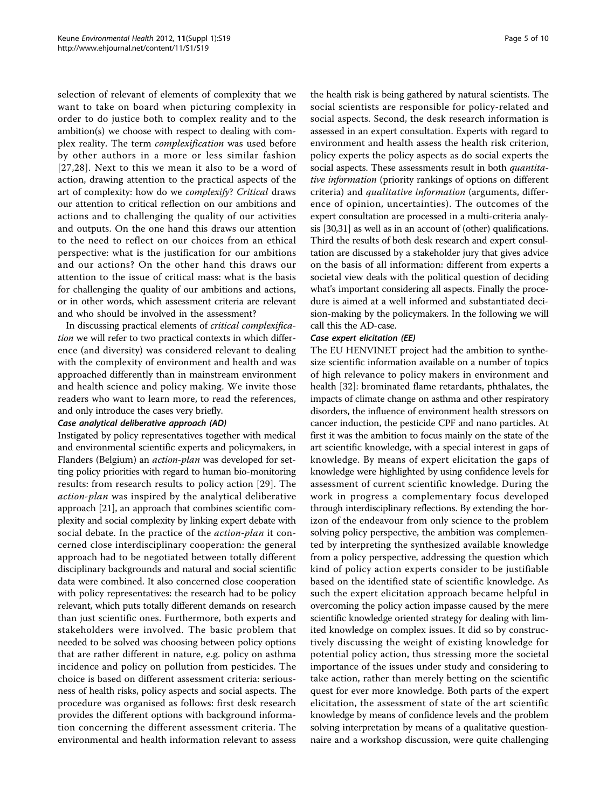selection of relevant of elements of complexity that we want to take on board when picturing complexity in order to do justice both to complex reality and to the ambition(s) we choose with respect to dealing with complex reality. The term complexification was used before by other authors in a more or less similar fashion [[27,28](#page-9-0)]. Next to this we mean it also to be a word of action, drawing attention to the practical aspects of the art of complexity: how do we complexify? Critical draws our attention to critical reflection on our ambitions and actions and to challenging the quality of our activities and outputs. On the one hand this draws our attention to the need to reflect on our choices from an ethical perspective: what is the justification for our ambitions and our actions? On the other hand this draws our attention to the issue of critical mass: what is the basis for challenging the quality of our ambitions and actions, or in other words, which assessment criteria are relevant and who should be involved in the assessment?

In discussing practical elements of critical complexification we will refer to two practical contexts in which difference (and diversity) was considered relevant to dealing with the complexity of environment and health and was approached differently than in mainstream environment and health science and policy making. We invite those readers who want to learn more, to read the references, and only introduce the cases very briefly.

#### Case analytical deliberative approach (AD)

Instigated by policy representatives together with medical and environmental scientific experts and policymakers, in Flanders (Belgium) an action-plan was developed for setting policy priorities with regard to human bio-monitoring results: from research results to policy action [[29](#page-9-0)]. The action-plan was inspired by the analytical deliberative approach [\[21\]](#page-9-0), an approach that combines scientific complexity and social complexity by linking expert debate with social debate. In the practice of the action-plan it concerned close interdisciplinary cooperation: the general approach had to be negotiated between totally different disciplinary backgrounds and natural and social scientific data were combined. It also concerned close cooperation with policy representatives: the research had to be policy relevant, which puts totally different demands on research than just scientific ones. Furthermore, both experts and stakeholders were involved. The basic problem that needed to be solved was choosing between policy options that are rather different in nature, e.g. policy on asthma incidence and policy on pollution from pesticides. The choice is based on different assessment criteria: seriousness of health risks, policy aspects and social aspects. The procedure was organised as follows: first desk research provides the different options with background information concerning the different assessment criteria. The environmental and health information relevant to assess the health risk is being gathered by natural scientists. The social scientists are responsible for policy-related and social aspects. Second, the desk research information is assessed in an expert consultation. Experts with regard to environment and health assess the health risk criterion, policy experts the policy aspects as do social experts the social aspects. These assessments result in both *quantita*tive information (priority rankings of options on different criteria) and qualitative information (arguments, difference of opinion, uncertainties). The outcomes of the expert consultation are processed in a multi-criteria analysis [\[30,31](#page-9-0)] as well as in an account of (other) qualifications. Third the results of both desk research and expert consultation are discussed by a stakeholder jury that gives advice on the basis of all information: different from experts a societal view deals with the political question of deciding what's important considering all aspects. Finally the procedure is aimed at a well informed and substantiated decision-making by the policymakers. In the following we will call this the AD-case.

### Case expert elicitation (EE)

The EU HENVINET project had the ambition to synthesize scientific information available on a number of topics of high relevance to policy makers in environment and health [\[32](#page-9-0)]: brominated flame retardants, phthalates, the impacts of climate change on asthma and other respiratory disorders, the influence of environment health stressors on cancer induction, the pesticide CPF and nano particles. At first it was the ambition to focus mainly on the state of the art scientific knowledge, with a special interest in gaps of knowledge. By means of expert elicitation the gaps of knowledge were highlighted by using confidence levels for assessment of current scientific knowledge. During the work in progress a complementary focus developed through interdisciplinary reflections. By extending the horizon of the endeavour from only science to the problem solving policy perspective, the ambition was complemented by interpreting the synthesized available knowledge from a policy perspective, addressing the question which kind of policy action experts consider to be justifiable based on the identified state of scientific knowledge. As such the expert elicitation approach became helpful in overcoming the policy action impasse caused by the mere scientific knowledge oriented strategy for dealing with limited knowledge on complex issues. It did so by constructively discussing the weight of existing knowledge for potential policy action, thus stressing more the societal importance of the issues under study and considering to take action, rather than merely betting on the scientific quest for ever more knowledge. Both parts of the expert elicitation, the assessment of state of the art scientific knowledge by means of confidence levels and the problem solving interpretation by means of a qualitative questionnaire and a workshop discussion, were quite challenging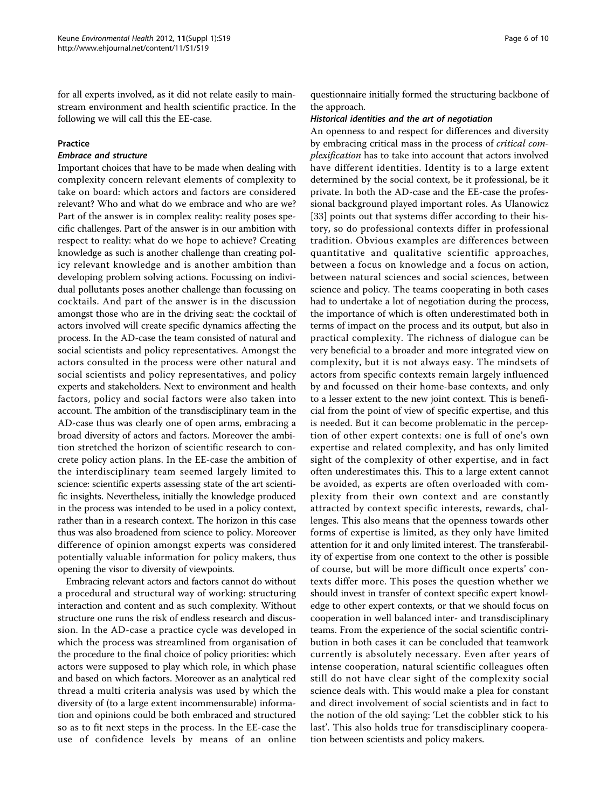for all experts involved, as it did not relate easily to mainstream environment and health scientific practice. In the following we will call this the EE-case.

### Practice

### Embrace and structure

Important choices that have to be made when dealing with complexity concern relevant elements of complexity to take on board: which actors and factors are considered relevant? Who and what do we embrace and who are we? Part of the answer is in complex reality: reality poses specific challenges. Part of the answer is in our ambition with respect to reality: what do we hope to achieve? Creating knowledge as such is another challenge than creating policy relevant knowledge and is another ambition than developing problem solving actions. Focussing on individual pollutants poses another challenge than focussing on cocktails. And part of the answer is in the discussion amongst those who are in the driving seat: the cocktail of actors involved will create specific dynamics affecting the process. In the AD-case the team consisted of natural and social scientists and policy representatives. Amongst the actors consulted in the process were other natural and social scientists and policy representatives, and policy experts and stakeholders. Next to environment and health factors, policy and social factors were also taken into account. The ambition of the transdisciplinary team in the AD-case thus was clearly one of open arms, embracing a broad diversity of actors and factors. Moreover the ambition stretched the horizon of scientific research to concrete policy action plans. In the EE-case the ambition of the interdisciplinary team seemed largely limited to science: scientific experts assessing state of the art scientific insights. Nevertheless, initially the knowledge produced in the process was intended to be used in a policy context, rather than in a research context. The horizon in this case thus was also broadened from science to policy. Moreover difference of opinion amongst experts was considered potentially valuable information for policy makers, thus opening the visor to diversity of viewpoints.

Embracing relevant actors and factors cannot do without a procedural and structural way of working: structuring interaction and content and as such complexity. Without structure one runs the risk of endless research and discussion. In the AD-case a practice cycle was developed in which the process was streamlined from organisation of the procedure to the final choice of policy priorities: which actors were supposed to play which role, in which phase and based on which factors. Moreover as an analytical red thread a multi criteria analysis was used by which the diversity of (to a large extent incommensurable) information and opinions could be both embraced and structured so as to fit next steps in the process. In the EE-case the use of confidence levels by means of an online questionnaire initially formed the structuring backbone of the approach.

#### Historical identities and the art of negotiation

An openness to and respect for differences and diversity by embracing critical mass in the process of critical complexification has to take into account that actors involved have different identities. Identity is to a large extent determined by the social context, be it professional, be it private. In both the AD-case and the EE-case the professional background played important roles. As Ulanowicz [[33\]](#page-9-0) points out that systems differ according to their history, so do professional contexts differ in professional tradition. Obvious examples are differences between quantitative and qualitative scientific approaches, between a focus on knowledge and a focus on action, between natural sciences and social sciences, between science and policy. The teams cooperating in both cases had to undertake a lot of negotiation during the process, the importance of which is often underestimated both in terms of impact on the process and its output, but also in practical complexity. The richness of dialogue can be very beneficial to a broader and more integrated view on complexity, but it is not always easy. The mindsets of actors from specific contexts remain largely influenced by and focussed on their home-base contexts, and only to a lesser extent to the new joint context. This is beneficial from the point of view of specific expertise, and this is needed. But it can become problematic in the perception of other expert contexts: one is full of one's own expertise and related complexity, and has only limited sight of the complexity of other expertise, and in fact often underestimates this. This to a large extent cannot be avoided, as experts are often overloaded with complexity from their own context and are constantly attracted by context specific interests, rewards, challenges. This also means that the openness towards other forms of expertise is limited, as they only have limited attention for it and only limited interest. The transferability of expertise from one context to the other is possible of course, but will be more difficult once experts' contexts differ more. This poses the question whether we should invest in transfer of context specific expert knowledge to other expert contexts, or that we should focus on cooperation in well balanced inter- and transdisciplinary teams. From the experience of the social scientific contribution in both cases it can be concluded that teamwork currently is absolutely necessary. Even after years of intense cooperation, natural scientific colleagues often still do not have clear sight of the complexity social science deals with. This would make a plea for constant and direct involvement of social scientists and in fact to the notion of the old saying: 'Let the cobbler stick to his last'. This also holds true for transdisciplinary cooperation between scientists and policy makers.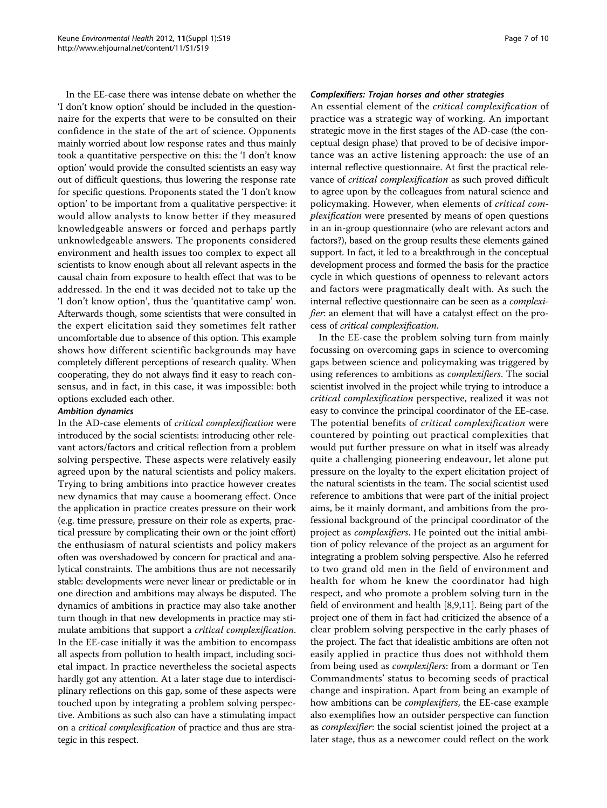In the EE-case there was intense debate on whether the 'I don't know option' should be included in the questionnaire for the experts that were to be consulted on their confidence in the state of the art of science. Opponents mainly worried about low response rates and thus mainly took a quantitative perspective on this: the 'I don't know option' would provide the consulted scientists an easy way out of difficult questions, thus lowering the response rate for specific questions. Proponents stated the 'I don't know option' to be important from a qualitative perspective: it would allow analysts to know better if they measured knowledgeable answers or forced and perhaps partly unknowledgeable answers. The proponents considered environment and health issues too complex to expect all scientists to know enough about all relevant aspects in the causal chain from exposure to health effect that was to be addressed. In the end it was decided not to take up the 'I don't know option', thus the 'quantitative camp' won. Afterwards though, some scientists that were consulted in the expert elicitation said they sometimes felt rather uncomfortable due to absence of this option. This example shows how different scientific backgrounds may have completely different perceptions of research quality. When cooperating, they do not always find it easy to reach consensus, and in fact, in this case, it was impossible: both options excluded each other.

# Ambition dynamics

In the AD-case elements of critical complexification were introduced by the social scientists: introducing other relevant actors/factors and critical reflection from a problem solving perspective. These aspects were relatively easily agreed upon by the natural scientists and policy makers. Trying to bring ambitions into practice however creates new dynamics that may cause a boomerang effect. Once the application in practice creates pressure on their work (e.g. time pressure, pressure on their role as experts, practical pressure by complicating their own or the joint effort) the enthusiasm of natural scientists and policy makers often was overshadowed by concern for practical and analytical constraints. The ambitions thus are not necessarily stable: developments were never linear or predictable or in one direction and ambitions may always be disputed. The dynamics of ambitions in practice may also take another turn though in that new developments in practice may stimulate ambitions that support a critical complexification. In the EE-case initially it was the ambition to encompass all aspects from pollution to health impact, including societal impact. In practice nevertheless the societal aspects hardly got any attention. At a later stage due to interdisciplinary reflections on this gap, some of these aspects were touched upon by integrating a problem solving perspective. Ambitions as such also can have a stimulating impact on a critical complexification of practice and thus are strategic in this respect.

#### Complexifiers: Trojan horses and other strategies

An essential element of the critical complexification of practice was a strategic way of working. An important strategic move in the first stages of the AD-case (the conceptual design phase) that proved to be of decisive importance was an active listening approach: the use of an internal reflective questionnaire. At first the practical relevance of critical complexification as such proved difficult to agree upon by the colleagues from natural science and policymaking. However, when elements of critical complexification were presented by means of open questions in an in-group questionnaire (who are relevant actors and factors?), based on the group results these elements gained support. In fact, it led to a breakthrough in the conceptual development process and formed the basis for the practice cycle in which questions of openness to relevant actors and factors were pragmatically dealt with. As such the internal reflective questionnaire can be seen as a complexifier: an element that will have a catalyst effect on the process of critical complexification.

In the EE-case the problem solving turn from mainly focussing on overcoming gaps in science to overcoming gaps between science and policymaking was triggered by using references to ambitions as *complexifiers*. The social scientist involved in the project while trying to introduce a critical complexification perspective, realized it was not easy to convince the principal coordinator of the EE-case. The potential benefits of critical complexification were countered by pointing out practical complexities that would put further pressure on what in itself was already quite a challenging pioneering endeavour, let alone put pressure on the loyalty to the expert elicitation project of the natural scientists in the team. The social scientist used reference to ambitions that were part of the initial project aims, be it mainly dormant, and ambitions from the professional background of the principal coordinator of the project as complexifiers. He pointed out the initial ambition of policy relevance of the project as an argument for integrating a problem solving perspective. Also he referred to two grand old men in the field of environment and health for whom he knew the coordinator had high respect, and who promote a problem solving turn in the field of environment and health [[8,9,11](#page-9-0)]. Being part of the project one of them in fact had criticized the absence of a clear problem solving perspective in the early phases of the project. The fact that idealistic ambitions are often not easily applied in practice thus does not withhold them from being used as complexifiers: from a dormant or Ten Commandments' status to becoming seeds of practical change and inspiration. Apart from being an example of how ambitions can be complexifiers, the EE-case example also exemplifies how an outsider perspective can function as *complexifier*: the social scientist joined the project at a later stage, thus as a newcomer could reflect on the work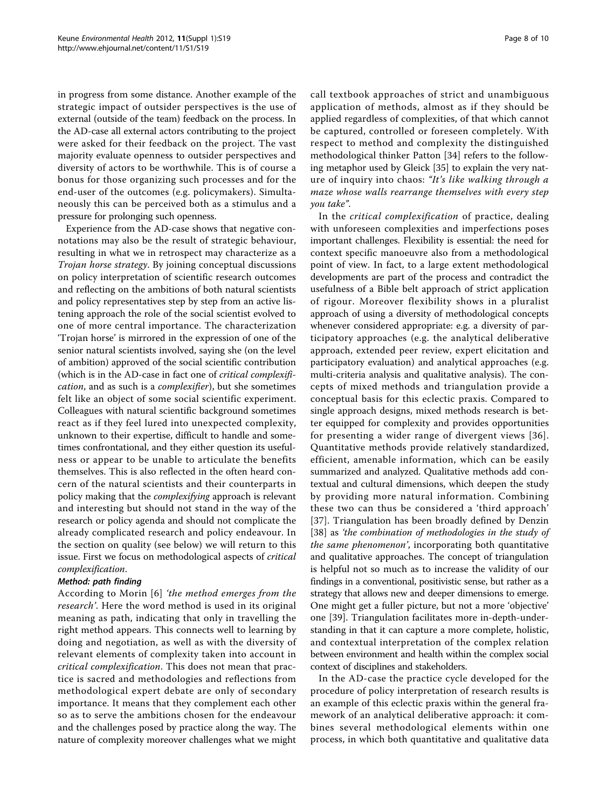in progress from some distance. Another example of the strategic impact of outsider perspectives is the use of external (outside of the team) feedback on the process. In the AD-case all external actors contributing to the project were asked for their feedback on the project. The vast majority evaluate openness to outsider perspectives and diversity of actors to be worthwhile. This is of course a bonus for those organizing such processes and for the end-user of the outcomes (e.g. policymakers). Simultaneously this can be perceived both as a stimulus and a pressure for prolonging such openness.

Experience from the AD-case shows that negative connotations may also be the result of strategic behaviour, resulting in what we in retrospect may characterize as a Trojan horse strategy. By joining conceptual discussions on policy interpretation of scientific research outcomes and reflecting on the ambitions of both natural scientists and policy representatives step by step from an active listening approach the role of the social scientist evolved to one of more central importance. The characterization 'Trojan horse' is mirrored in the expression of one of the senior natural scientists involved, saying she (on the level of ambition) approved of the social scientific contribution (which is in the AD-case in fact one of critical complexification, and as such is a complexifier), but she sometimes felt like an object of some social scientific experiment. Colleagues with natural scientific background sometimes react as if they feel lured into unexpected complexity, unknown to their expertise, difficult to handle and sometimes confrontational, and they either question its usefulness or appear to be unable to articulate the benefits themselves. This is also reflected in the often heard concern of the natural scientists and their counterparts in policy making that the *complexifying* approach is relevant and interesting but should not stand in the way of the research or policy agenda and should not complicate the already complicated research and policy endeavour. In the section on quality (see below) we will return to this issue. First we focus on methodological aspects of critical complexification.

# Method: path finding

According to Morin [[6](#page-9-0)] 'the method emerges from the research'. Here the word method is used in its original meaning as path, indicating that only in travelling the right method appears. This connects well to learning by doing and negotiation, as well as with the diversity of relevant elements of complexity taken into account in critical complexification. This does not mean that practice is sacred and methodologies and reflections from methodological expert debate are only of secondary importance. It means that they complement each other so as to serve the ambitions chosen for the endeavour and the challenges posed by practice along the way. The nature of complexity moreover challenges what we might call textbook approaches of strict and unambiguous application of methods, almost as if they should be applied regardless of complexities, of that which cannot be captured, controlled or foreseen completely. With respect to method and complexity the distinguished methodological thinker Patton [[34](#page-9-0)] refers to the following metaphor used by Gleick [[35\]](#page-9-0) to explain the very nature of inquiry into chaos: "It's like walking through a maze whose walls rearrange themselves with every step you take".

In the critical complexification of practice, dealing with unforeseen complexities and imperfections poses important challenges. Flexibility is essential: the need for context specific manoeuvre also from a methodological point of view. In fact, to a large extent methodological developments are part of the process and contradict the usefulness of a Bible belt approach of strict application of rigour. Moreover flexibility shows in a pluralist approach of using a diversity of methodological concepts whenever considered appropriate: e.g. a diversity of participatory approaches (e.g. the analytical deliberative approach, extended peer review, expert elicitation and participatory evaluation) and analytical approaches (e.g. multi-criteria analysis and qualitative analysis). The concepts of mixed methods and triangulation provide a conceptual basis for this eclectic praxis. Compared to single approach designs, mixed methods research is better equipped for complexity and provides opportunities for presenting a wider range of divergent views [\[36\]](#page-9-0). Quantitative methods provide relatively standardized, efficient, amenable information, which can be easily summarized and analyzed. Qualitative methods add contextual and cultural dimensions, which deepen the study by providing more natural information. Combining these two can thus be considered a 'third approach' [[37\]](#page-9-0). Triangulation has been broadly defined by Denzin [[38\]](#page-9-0) as 'the combination of methodologies in the study of the same phenomenon', incorporating both quantitative and qualitative approaches. The concept of triangulation is helpful not so much as to increase the validity of our findings in a conventional, positivistic sense, but rather as a strategy that allows new and deeper dimensions to emerge. One might get a fuller picture, but not a more 'objective' one [\[39](#page-9-0)]. Triangulation facilitates more in-depth-understanding in that it can capture a more complete, holistic, and contextual interpretation of the complex relation between environment and health within the complex social context of disciplines and stakeholders.

In the AD-case the practice cycle developed for the procedure of policy interpretation of research results is an example of this eclectic praxis within the general framework of an analytical deliberative approach: it combines several methodological elements within one process, in which both quantitative and qualitative data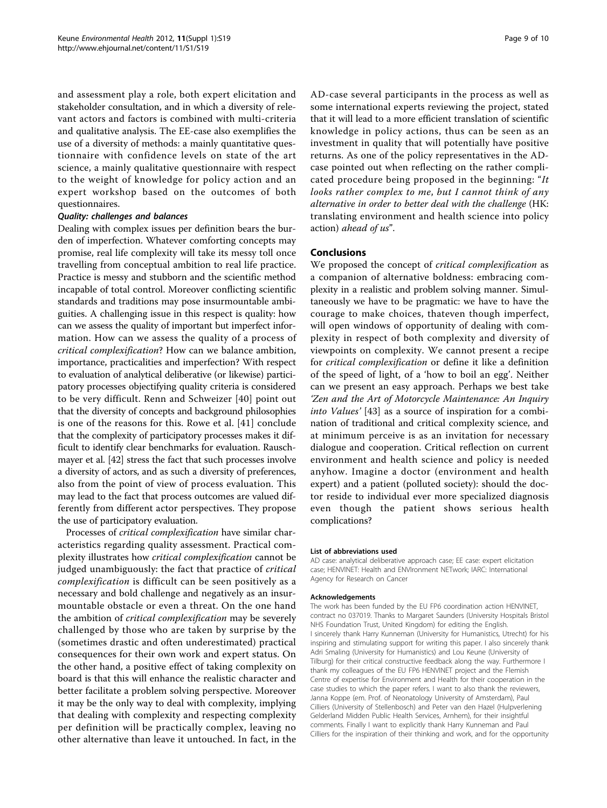and assessment play a role, both expert elicitation and stakeholder consultation, and in which a diversity of relevant actors and factors is combined with multi-criteria and qualitative analysis. The EE-case also exemplifies the use of a diversity of methods: a mainly quantitative questionnaire with confidence levels on state of the art science, a mainly qualitative questionnaire with respect to the weight of knowledge for policy action and an expert workshop based on the outcomes of both questionnaires.

#### Quality: challenges and balances

Dealing with complex issues per definition bears the burden of imperfection. Whatever comforting concepts may promise, real life complexity will take its messy toll once travelling from conceptual ambition to real life practice. Practice is messy and stubborn and the scientific method incapable of total control. Moreover conflicting scientific standards and traditions may pose insurmountable ambiguities. A challenging issue in this respect is quality: how can we assess the quality of important but imperfect information. How can we assess the quality of a process of critical complexification? How can we balance ambition, importance, practicalities and imperfection? With respect to evaluation of analytical deliberative (or likewise) participatory processes objectifying quality criteria is considered to be very difficult. Renn and Schweizer [\[40\]](#page-9-0) point out that the diversity of concepts and background philosophies is one of the reasons for this. Rowe et al. [[41](#page-9-0)] conclude that the complexity of participatory processes makes it difficult to identify clear benchmarks for evaluation. Rauschmayer et al. [[42\]](#page-9-0) stress the fact that such processes involve a diversity of actors, and as such a diversity of preferences, also from the point of view of process evaluation. This may lead to the fact that process outcomes are valued differently from different actor perspectives. They propose the use of participatory evaluation.

Processes of critical complexification have similar characteristics regarding quality assessment. Practical complexity illustrates how critical complexification cannot be judged unambiguously: the fact that practice of *critical* complexification is difficult can be seen positively as a necessary and bold challenge and negatively as an insurmountable obstacle or even a threat. On the one hand the ambition of critical complexification may be severely challenged by those who are taken by surprise by the (sometimes drastic and often underestimated) practical consequences for their own work and expert status. On the other hand, a positive effect of taking complexity on board is that this will enhance the realistic character and better facilitate a problem solving perspective. Moreover it may be the only way to deal with complexity, implying that dealing with complexity and respecting complexity per definition will be practically complex, leaving no other alternative than leave it untouched. In fact, in the AD-case several participants in the process as well as some international experts reviewing the project, stated that it will lead to a more efficient translation of scientific knowledge in policy actions, thus can be seen as an investment in quality that will potentially have positive returns. As one of the policy representatives in the ADcase pointed out when reflecting on the rather complicated procedure being proposed in the beginning: "It looks rather complex to me, but I cannot think of any alternative in order to better deal with the challenge (HK: translating environment and health science into policy action) ahead of us".

#### Conclusions

We proposed the concept of *critical complexification* as a companion of alternative boldness: embracing complexity in a realistic and problem solving manner. Simultaneously we have to be pragmatic: we have to have the courage to make choices, thateven though imperfect, will open windows of opportunity of dealing with complexity in respect of both complexity and diversity of viewpoints on complexity. We cannot present a recipe for critical complexification or define it like a definition of the speed of light, of a 'how to boil an egg'. Neither can we present an easy approach. Perhaps we best take 'Zen and the Art of Motorcycle Maintenance: An Inquiry into Values' [[43\]](#page-9-0) as a source of inspiration for a combination of traditional and critical complexity science, and at minimum perceive is as an invitation for necessary dialogue and cooperation. Critical reflection on current environment and health science and policy is needed anyhow. Imagine a doctor (environment and health expert) and a patient (polluted society): should the doctor reside to individual ever more specialized diagnosis even though the patient shows serious health complications?

#### List of abbreviations used

AD case: analytical deliberative approach case; EE case: expert elicitation case; HENVINET: Health and ENVIronment NETwork; IARC: International Agency for Research on Cancer

#### Acknowledgements

The work has been funded by the EU FP6 coordination action HENVINET, contract no 037019. Thanks to Margaret Saunders (University Hospitals Bristol NHS Foundation Trust, United Kingdom) for editing the English. I sincerely thank Harry Kunneman (University for Humanistics, Utrecht) for his inspiring and stimulating support for writing this paper. I also sincerely thank Adri Smaling (University for Humanistics) and Lou Keune (University of Tilburg) for their critical constructive feedback along the way. Furthermore I thank my colleagues of the EU FP6 HENVINET project and the Flemish Centre of expertise for Environment and Health for their cooperation in the case studies to which the paper refers. I want to also thank the reviewers, Janna Koppe (em. Prof. of Neonatology University of Amsterdam), Paul Cilliers (University of Stellenbosch) and Peter van den Hazel (Hulpverlening Gelderland Midden Public Health Services, Arnhem), for their insightful comments. Finally I want to explicitly thank Harry Kunneman and Paul Cilliers for the inspiration of their thinking and work, and for the opportunity